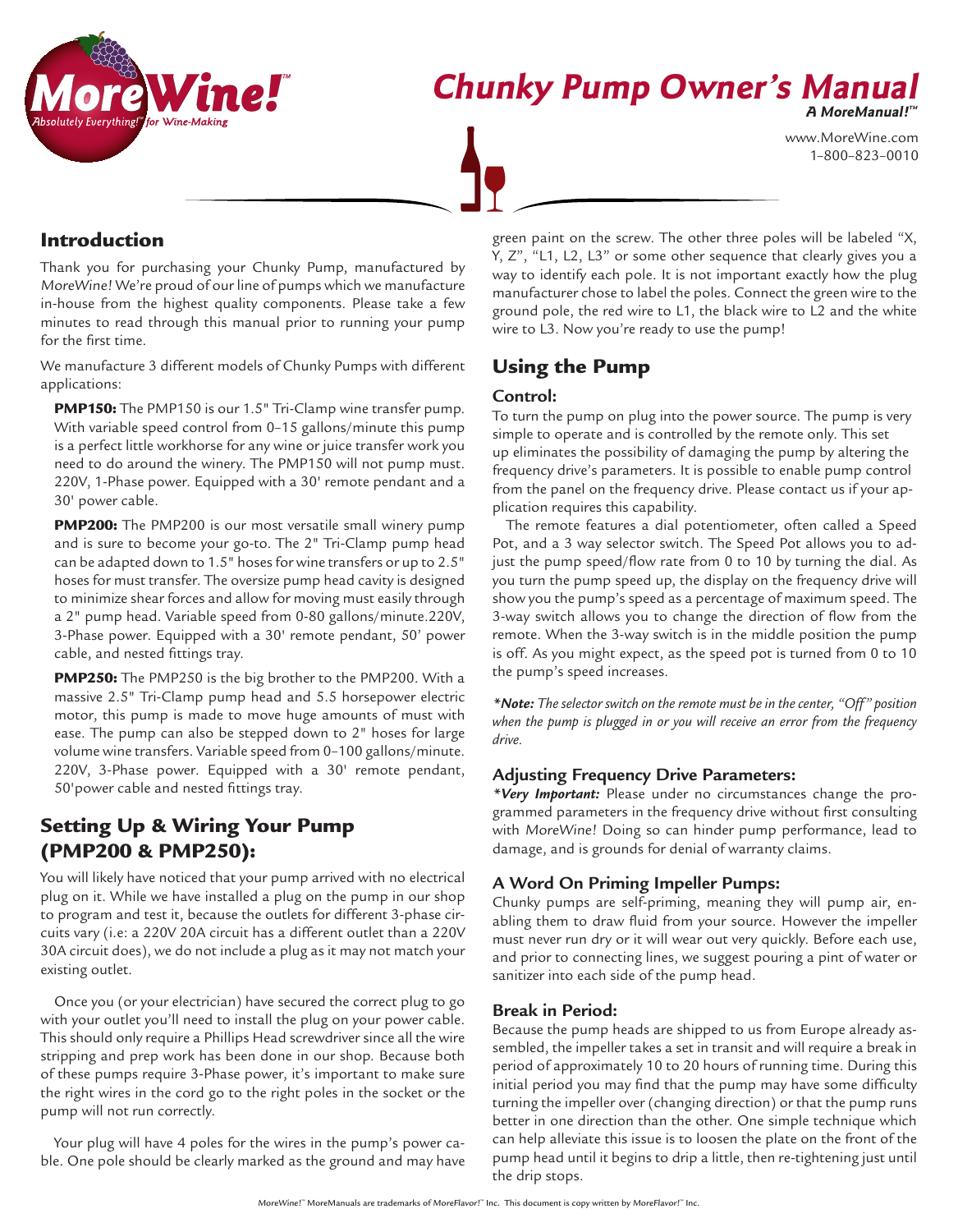

# **Chunky Pump Owner's Manual**

**A MoreManual! ™**

www.MoreWine.com 1–800–823–0010

## Introduction

Thank you for purchasing your Chunky Pump, manufactured by MoreWine! We're proud of our line of pumps which we manufacture in-house from the highest quality components. Please take a few minutes to read through this manual prior to running your pump for the first time.

We manufacture 3 different models of Chunky Pumps with different applications:

**PMP150:** The PMP150 is our 1.5" Tri-Clamp wine transfer pump. With variable speed control from 0–15 gallons/minute this pump is a perfect little workhorse for any wine or juice transfer work you need to do around the winery. The PMP150 will not pump must. 220V, 1-Phase power. Equipped with a 30' remote pendant and a 30' power cable.

**PMP200:** The PMP200 is our most versatile small winery pump and is sure to become your go-to. The 2" Tri-Clamp pump head can be adapted down to 1.5" hoses for wine transfers or up to 2.5" hoses for must transfer. The oversize pump head cavity is designed to minimize shear forces and allow for moving must easily through a 2" pump head. Variable speed from 0-80 gallons/minute.220V, 3-Phase power. Equipped with a 30' remote pendant, 50' power cable, and nested fittings tray.

PMP250: The PMP250 is the big brother to the PMP200. With a massive 2.5" Tri-Clamp pump head and 5.5 horsepower electric motor, this pump is made to move huge amounts of must with ease. The pump can also be stepped down to 2" hoses for large volume wine transfers. Variable speed from 0–100 gallons/minute. 220V, 3-Phase power. Equipped with a 30' remote pendant, 50'power cable and nested fittings tray.

# Setting Up & Wiring Your Pump (PMP200 & PMP250):

You will likely have noticed that your pump arrived with no electrical plug on it. While we have installed a plug on the pump in our shop to program and test it, because the outlets for different 3-phase circuits vary (i.e: a 220V 20A circuit has a different outlet than a 220V 30A circuit does), we do not include a plug as it may not match your existing outlet.

Once you (or your electrician) have secured the correct plug to go with your outlet you'll need to install the plug on your power cable. This should only require a Phillips Head screwdriver since all the wire stripping and prep work has been done in our shop. Because both of these pumps require 3-Phase power, it's important to make sure the right wires in the cord go to the right poles in the socket or the pump will not run correctly.

Your plug will have 4 poles for the wires in the pump's power cable. One pole should be clearly marked as the ground and may have

green paint on the screw. The other three poles will be labeled "X, Y, Z", "L1, L2, L3" or some other sequence that clearly gives you a way to identify each pole. It is not important exactly how the plug manufacturer chose to label the poles. Connect the green wire to the ground pole, the red wire to L1, the black wire to L2 and the white wire to L3. Now you're ready to use the pump!

# Using the Pump

## **Control:**

To turn the pump on plug into the power source. The pump is very simple to operate and is controlled by the remote only. This set up eliminates the possibility of damaging the pump by altering the frequency drive's parameters. It is possible to enable pump control from the panel on the frequency drive. Please contact us if your application requires this capability.

The remote features a dial potentiometer, often called a Speed Pot, and a 3 way selector switch. The Speed Pot allows you to adjust the pump speed/flow rate from 0 to 10 by turning the dial. As you turn the pump speed up, the display on the frequency drive will show you the pump's speed as a percentage of maximum speed. The 3-way switch allows you to change the direction of flow from the remote. When the 3-way switch is in the middle position the pump is off. As you might expect, as the speed pot is turned from 0 to 10 the pump's speed increases.

*\*Note: The selector switch on the remote must be in the center, "Off" position when the pump is plugged in or you will receive an error from the frequency drive.*

## **Adjusting Frequency Drive Parameters:**

*\*Very Important:* Please under no circumstances change the programmed parameters in the frequency drive without first consulting with MoreWine! Doing so can hinder pump performance, lead to damage, and is grounds for denial of warranty claims.

## **A Word On Priming Impeller Pumps:**

Chunky pumps are self-priming, meaning they will pump air, enabling them to draw fluid from your source. However the impeller must never run dry or it will wear out very quickly. Before each use, and prior to connecting lines, we suggest pouring a pint of water or sanitizer into each side of the pump head.

## **Break in Period:**

Because the pump heads are shipped to us from Europe already assembled, the impeller takes a set in transit and will require a break in period of approximately 10 to 20 hours of running time. During this initial period you may find that the pump may have some difficulty turning the impeller over (changing direction) or that the pump runs better in one direction than the other. One simple technique which can help alleviate this issue is to loosen the plate on the front of the pump head until it begins to drip a little, then re-tightening just until the drip stops.